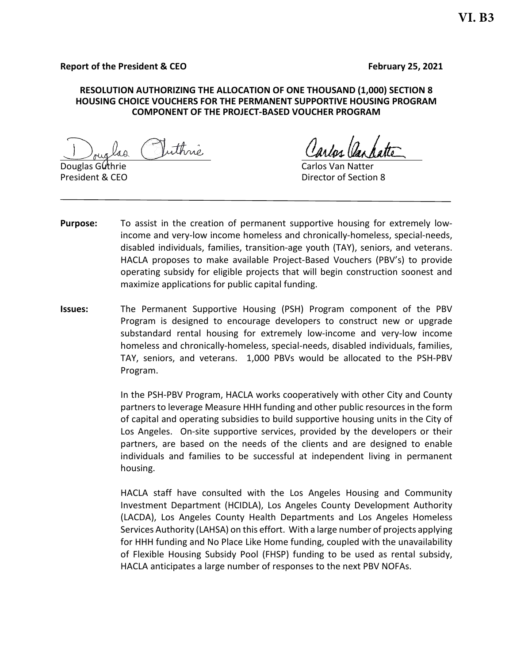#### **Report of the President & CEO** February 25, 2021

#### **RESOLUTION AUTHORIZING THE ALLOCATION OF ONE THOUSAND (1,000) SECTION 8 HOUSING CHOICE VOUCHERS FOR THE PERMANENT SUPPORTIVE HOUSING PROGRAM COMPONENT OF THE PROJECT-BASED VOUCHER PROGRAM**

uthrie

Douglas Guthrie

President & CEO **Director of Section 8** 

- **Purpose:** To assist in the creation of permanent supportive housing for extremely lowincome and very-low income homeless and chronically-homeless, special-needs, disabled individuals, families, transition-age youth (TAY), seniors, and veterans. HACLA proposes to make available Project-Based Vouchers (PBV's) to provide operating subsidy for eligible projects that will begin construction soonest and maximize applications for public capital funding.
- **Issues:** The Permanent Supportive Housing (PSH) Program component of the PBV Program is designed to encourage developers to construct new or upgrade substandard rental housing for extremely low-income and very-low income homeless and chronically-homeless, special-needs, disabled individuals, families, TAY, seniors, and veterans. 1,000 PBVs would be allocated to the PSH-PBV Program.

In the PSH-PBV Program, HACLA works cooperatively with other City and County partners to leverage Measure HHH funding and other public resources in the form of capital and operating subsidies to build supportive housing units in the City of Los Angeles. On-site supportive services, provided by the developers or their partners, are based on the needs of the clients and are designed to enable individuals and families to be successful at independent living in permanent housing.

HACLA staff have consulted with the Los Angeles Housing and Community Investment Department (HCIDLA), Los Angeles County Development Authority (LACDA), Los Angeles County Health Departments and Los Angeles Homeless Services Authority (LAHSA) on this effort. With a large number of projects applying for HHH funding and No Place Like Home funding, coupled with the unavailability of Flexible Housing Subsidy Pool (FHSP) funding to be used as rental subsidy, HACLA anticipates a large number of responses to the next PBV NOFAs.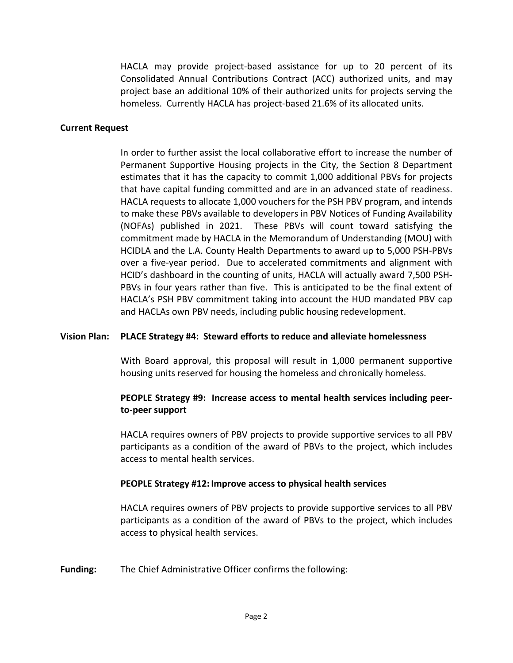HACLA may provide project-based assistance for up to 20 percent of its Consolidated Annual Contributions Contract (ACC) authorized units, and may project base an additional 10% of their authorized units for projects serving the homeless. Currently HACLA has project-based 21.6% of its allocated units.

### **Current Request**

In order to further assist the local collaborative effort to increase the number of Permanent Supportive Housing projects in the City, the Section 8 Department estimates that it has the capacity to commit 1,000 additional PBVs for projects that have capital funding committed and are in an advanced state of readiness. HACLA requests to allocate 1,000 vouchers for the PSH PBV program, and intends to make these PBVs available to developers in PBV Notices of Funding Availability (NOFAs) published in 2021. These PBVs will count toward satisfying the commitment made by HACLA in the Memorandum of Understanding (MOU) with HCIDLA and the L.A. County Health Departments to award up to 5,000 PSH-PBVs over a five-year period. Due to accelerated commitments and alignment with HCID's dashboard in the counting of units, HACLA will actually award 7,500 PSH-PBVs in four years rather than five. This is anticipated to be the final extent of HACLA's PSH PBV commitment taking into account the HUD mandated PBV cap and HACLAs own PBV needs, including public housing redevelopment.

## **Vision Plan: PLACE Strategy #4: Steward efforts to reduce and alleviate homelessness**

With Board approval, this proposal will result in 1,000 permanent supportive housing units reserved for housing the homeless and chronically homeless.

# **PEOPLE Strategy #9: Increase access to mental health services including peerto-peer support**

HACLA requires owners of PBV projects to provide supportive services to all PBV participants as a condition of the award of PBVs to the project, which includes access to mental health services.

## **PEOPLE Strategy #12: Improve access to physical health services**

HACLA requires owners of PBV projects to provide supportive services to all PBV participants as a condition of the award of PBVs to the project, which includes access to physical health services.

**Funding:** The Chief Administrative Officer confirms the following: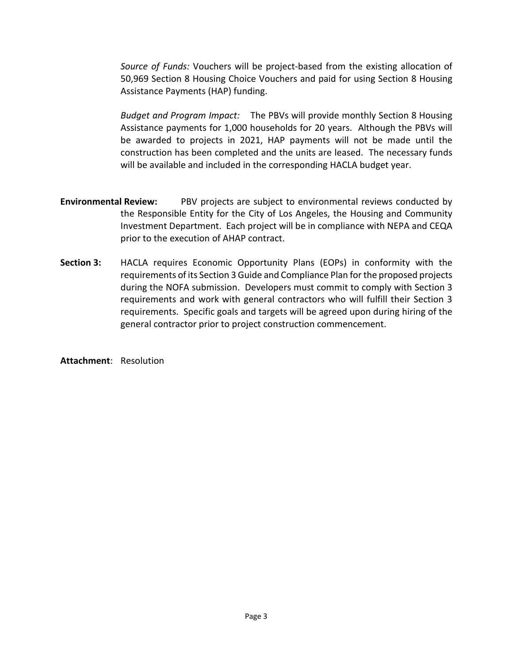*Source of Funds:* Vouchers will be project-based from the existing allocation of 50,969 Section 8 Housing Choice Vouchers and paid for using Section 8 Housing Assistance Payments (HAP) funding.

*Budget and Program Impact:* The PBVs will provide monthly Section 8 Housing Assistance payments for 1,000 households for 20 years. Although the PBVs will be awarded to projects in 2021, HAP payments will not be made until the construction has been completed and the units are leased. The necessary funds will be available and included in the corresponding HACLA budget year.

- **Environmental Review:** PBV projects are subject to environmental reviews conducted by the Responsible Entity for the City of Los Angeles, the Housing and Community Investment Department. Each project will be in compliance with NEPA and CEQA prior to the execution of AHAP contract.
- **Section 3:** HACLA requires Economic Opportunity Plans (EOPs) in conformity with the requirements of its Section 3 Guide and Compliance Plan for the proposed projects during the NOFA submission. Developers must commit to comply with Section 3 requirements and work with general contractors who will fulfill their Section 3 requirements. Specific goals and targets will be agreed upon during hiring of the general contractor prior to project construction commencement.

**Attachment**: Resolution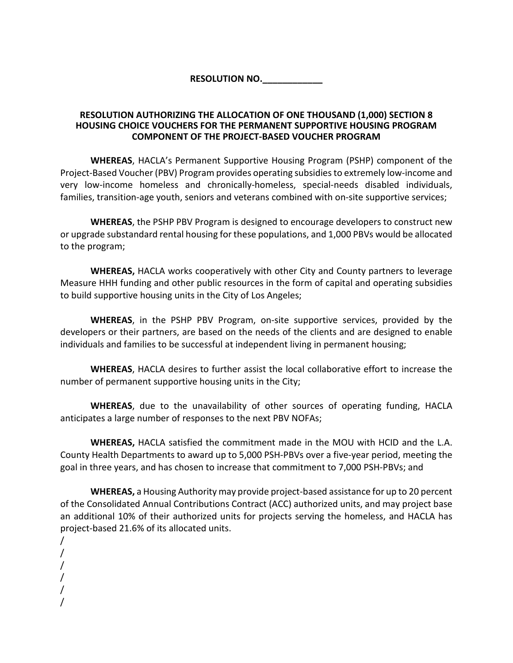**RESOLUTION NO.\_\_\_\_\_\_\_\_\_\_\_\_**

# **RESOLUTION AUTHORIZING THE ALLOCATION OF ONE THOUSAND (1,000) SECTION 8 HOUSING CHOICE VOUCHERS FOR THE PERMANENT SUPPORTIVE HOUSING PROGRAM COMPONENT OF THE PROJECT-BASED VOUCHER PROGRAM**

**WHEREAS**, HACLA's Permanent Supportive Housing Program (PSHP) component of the Project-Based Voucher (PBV) Program provides operating subsidies to extremely low-income and very low-income homeless and chronically-homeless, special-needs disabled individuals, families, transition-age youth, seniors and veterans combined with on-site supportive services;

**WHEREAS**, the PSHP PBV Program is designed to encourage developers to construct new or upgrade substandard rental housing for these populations, and 1,000 PBVs would be allocated to the program;

**WHEREAS,** HACLA works cooperatively with other City and County partners to leverage Measure HHH funding and other public resources in the form of capital and operating subsidies to build supportive housing units in the City of Los Angeles;

**WHEREAS**, in the PSHP PBV Program, on-site supportive services, provided by the developers or their partners, are based on the needs of the clients and are designed to enable individuals and families to be successful at independent living in permanent housing;

**WHEREAS**, HACLA desires to further assist the local collaborative effort to increase the number of permanent supportive housing units in the City;

**WHEREAS**, due to the unavailability of other sources of operating funding, HACLA anticipates a large number of responses to the next PBV NOFAs;

**WHEREAS,** HACLA satisfied the commitment made in the MOU with HCID and the L.A. County Health Departments to award up to 5,000 PSH-PBVs over a five-year period, meeting the goal in three years, and has chosen to increase that commitment to 7,000 PSH-PBVs; and

**WHEREAS,** a Housing Authority may provide project-based assistance for up to 20 percent of the Consolidated Annual Contributions Contract (ACC) authorized units, and may project base an additional 10% of their authorized units for projects serving the homeless, and HACLA has project-based 21.6% of its allocated units.

/ / / / / /